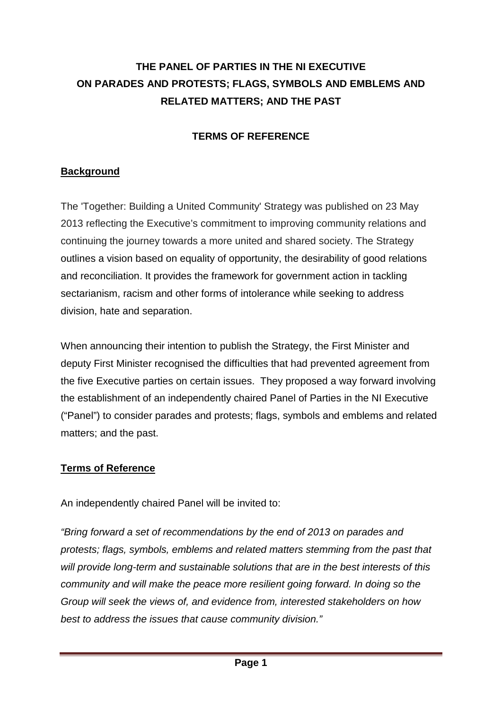# **THE PANEL OF PARTIES IN THE NI EXECUTIVE ON PARADES AND PROTESTS; FLAGS, SYMBOLS AND EMBLEMS AND RELATED MATTERS; AND THE PAST**

## **TERMS OF REFERENCE**

## **Background**

The 'Together: Building a United Community' Strategy was published on 23 May 2013 reflecting the Executive's commitment to improving community relations and continuing the journey towards a more united and shared society. The Strategy outlines a vision based on equality of opportunity, the desirability of good relations and reconciliation. It provides the framework for government action in tackling sectarianism, racism and other forms of intolerance while seeking to address division, hate and separation.

When announcing their intention to publish the Strategy, the First Minister and deputy First Minister recognised the difficulties that had prevented agreement from the five Executive parties on certain issues. They proposed a way forward involving the establishment of an independently chaired Panel of Parties in the NI Executive ("Panel") to consider parades and protests; flags, symbols and emblems and related matters; and the past.

#### **Terms of Reference**

An independently chaired Panel will be invited to:

*"Bring forward a set of recommendations by the end of 2013 on parades and protests; flags, symbols, emblems and related matters stemming from the past that will provide long-term and sustainable solutions that are in the best interests of this community and will make the peace more resilient going forward. In doing so the Group will seek the views of, and evidence from, interested stakeholders on how best to address the issues that cause community division."*